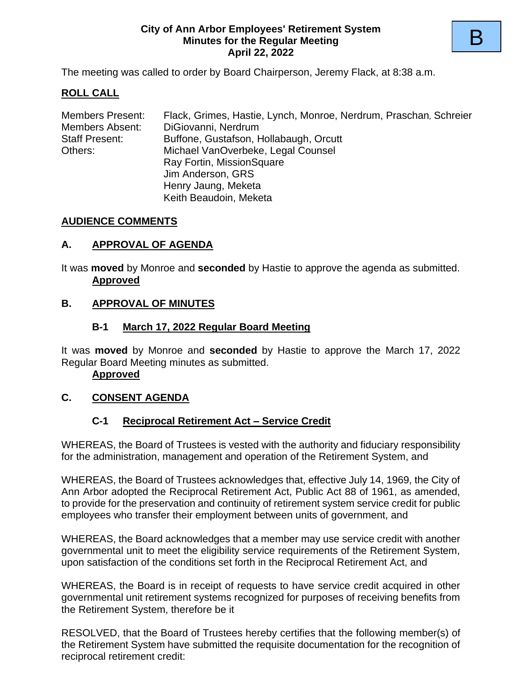#### **City of Ann Arbor Employees' Retirement System Minutes for the Regular Meeting April 22, 2022**

The meeting was called to order by Board Chairperson, Jeremy Flack, at 8:38 a.m.

# **ROLL CALL**

| Flack, Grimes, Hastie, Lynch, Monroe, Nerdrum, Praschan, Schreier |
|-------------------------------------------------------------------|
| DiGiovanni, Nerdrum                                               |
| Buffone, Gustafson, Hollabaugh, Orcutt                            |
| Michael VanOverbeke, Legal Counsel                                |
| Ray Fortin, MissionSquare                                         |
| Jim Anderson, GRS                                                 |
| Henry Jaung, Meketa                                               |
| Keith Beaudoin, Meketa                                            |
|                                                                   |

## **AUDIENCE COMMENTS**

## **A. APPROVAL OF AGENDA**

It was **moved** by Monroe and **seconded** by Hastie to approve the agenda as submitted. **Approved**

# **B. APPROVAL OF MINUTES**

## **B-1 March 17, 2022 Regular Board Meeting**

It was **moved** by Monroe and **seconded** by Hastie to approve the March 17, 2022 Regular Board Meeting minutes as submitted.

## **Approved**

# **C. CONSENT AGENDA**

## **C-1 Reciprocal Retirement Act – Service Credit**

WHEREAS, the Board of Trustees is vested with the authority and fiduciary responsibility for the administration, management and operation of the Retirement System, and

WHEREAS, the Board of Trustees acknowledges that, effective July 14, 1969, the City of Ann Arbor adopted the Reciprocal Retirement Act, Public Act 88 of 1961, as amended, to provide for the preservation and continuity of retirement system service credit for public employees who transfer their employment between units of government, and

WHEREAS, the Board acknowledges that a member may use service credit with another governmental unit to meet the eligibility service requirements of the Retirement System, upon satisfaction of the conditions set forth in the Reciprocal Retirement Act, and

WHEREAS, the Board is in receipt of requests to have service credit acquired in other governmental unit retirement systems recognized for purposes of receiving benefits from the Retirement System, therefore be it

RESOLVED, that the Board of Trustees hereby certifies that the following member(s) of the Retirement System have submitted the requisite documentation for the recognition of reciprocal retirement credit: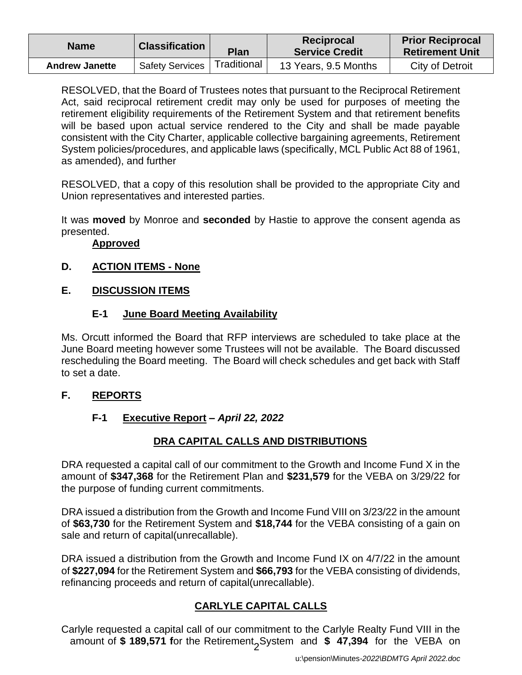| <b>Name</b>           | <b>Classification</b>  | <b>Plan</b> | Reciprocal<br><b>Service Credit</b> | <b>Prior Reciprocal</b><br><b>Retirement Unit</b> |
|-----------------------|------------------------|-------------|-------------------------------------|---------------------------------------------------|
| <b>Andrew Janette</b> | <b>Safety Services</b> | Traditional | 13 Years, 9.5 Months                | City of Detroit                                   |

RESOLVED, that the Board of Trustees notes that pursuant to the Reciprocal Retirement Act, said reciprocal retirement credit may only be used for purposes of meeting the retirement eligibility requirements of the Retirement System and that retirement benefits will be based upon actual service rendered to the City and shall be made payable consistent with the City Charter, applicable collective bargaining agreements, Retirement System policies/procedures, and applicable laws (specifically, MCL Public Act 88 of 1961, as amended), and further

RESOLVED, that a copy of this resolution shall be provided to the appropriate City and Union representatives and interested parties.

It was **moved** by Monroe and **seconded** by Hastie to approve the consent agenda as presented.

## **Approved**

# **D. ACTION ITEMS - None**

# **E. DISCUSSION ITEMS**

# **E-1 June Board Meeting Availability**

Ms. Orcutt informed the Board that RFP interviews are scheduled to take place at the June Board meeting however some Trustees will not be available. The Board discussed rescheduling the Board meeting. The Board will check schedules and get back with Staff to set a date.

# **F. REPORTS**

# **F-1 Executive Report** *– April 22, 2022*

# **DRA CAPITAL CALLS AND DISTRIBUTIONS**

DRA requested a capital call of our commitment to the Growth and Income Fund X in the amount of **\$347,368** for the Retirement Plan and **\$231,579** for the VEBA on 3/29/22 for the purpose of funding current commitments.

DRA issued a distribution from the Growth and Income Fund VIII on 3/23/22 in the amount of **\$63,730** for the Retirement System and **\$18,744** for the VEBA consisting of a gain on sale and return of capital(unrecallable).

DRA issued a distribution from the Growth and Income Fund IX on 4/7/22 in the amount of **\$227,094** for the Retirement System and **\$66,793** for the VEBA consisting of dividends, refinancing proceeds and return of capital(unrecallable).

# **CARLYLE CAPITAL CALLS**

amount of \$ 189,571 for the Retirement<sub>2</sub>System and \$ 47,394 for the VEBA on Carlyle requested a capital call of our commitment to the Carlyle Realty Fund VIII in the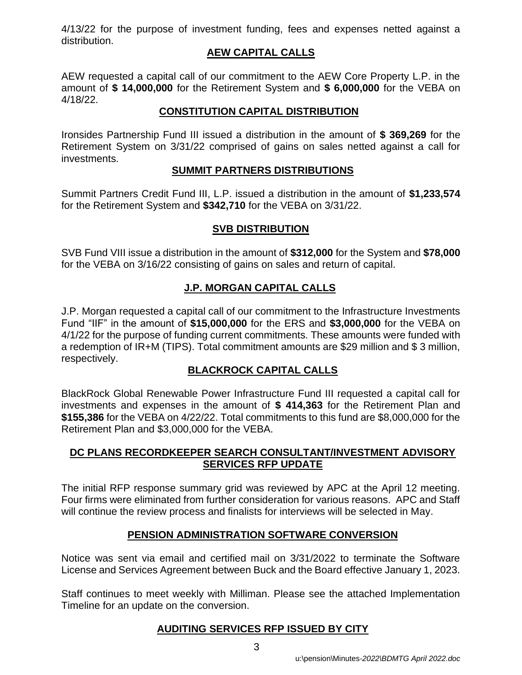4/13/22 for the purpose of investment funding, fees and expenses netted against a distribution.

## **AEW CAPITAL CALLS**

AEW requested a capital call of our commitment to the AEW Core Property L.P. in the amount of **\$ 14,000,000** for the Retirement System and **\$ 6,000,000** for the VEBA on 4/18/22.

## **CONSTITUTION CAPITAL DISTRIBUTION**

Ironsides Partnership Fund III issued a distribution in the amount of **\$ 369,269** for the Retirement System on 3/31/22 comprised of gains on sales netted against a call for investments.

## **SUMMIT PARTNERS DISTRIBUTIONS**

Summit Partners Credit Fund III, L.P. issued a distribution in the amount of **\$1,233,574**  for the Retirement System and **\$342,710** for the VEBA on 3/31/22.

## **SVB DISTRIBUTION**

SVB Fund VIII issue a distribution in the amount of **\$312,000** for the System and **\$78,000** for the VEBA on 3/16/22 consisting of gains on sales and return of capital.

# **J.P. MORGAN CAPITAL CALLS**

J.P. Morgan requested a capital call of our commitment to the Infrastructure Investments Fund "IIF" in the amount of **\$15,000,000** for the ERS and **\$3,000,000** for the VEBA on 4/1/22 for the purpose of funding current commitments. These amounts were funded with a redemption of IR+M (TIPS). Total commitment amounts are \$29 million and \$ 3 million, respectively.

## **BLACKROCK CAPITAL CALLS**

BlackRock Global Renewable Power Infrastructure Fund III requested a capital call for investments and expenses in the amount of **\$ 414,363** for the Retirement Plan and **\$155,386** for the VEBA on 4/22/22. Total commitments to this fund are \$8,000,000 for the Retirement Plan and \$3,000,000 for the VEBA.

## **DC PLANS RECORDKEEPER SEARCH CONSULTANT/INVESTMENT ADVISORY SERVICES RFP UPDATE**

The initial RFP response summary grid was reviewed by APC at the April 12 meeting. Four firms were eliminated from further consideration for various reasons. APC and Staff will continue the review process and finalists for interviews will be selected in May.

## **PENSION ADMINISTRATION SOFTWARE CONVERSION**

Notice was sent via email and certified mail on 3/31/2022 to terminate the Software License and Services Agreement between Buck and the Board effective January 1, 2023.

Staff continues to meet weekly with Milliman. Please see the attached Implementation Timeline for an update on the conversion.

## **AUDITING SERVICES RFP ISSUED BY CITY**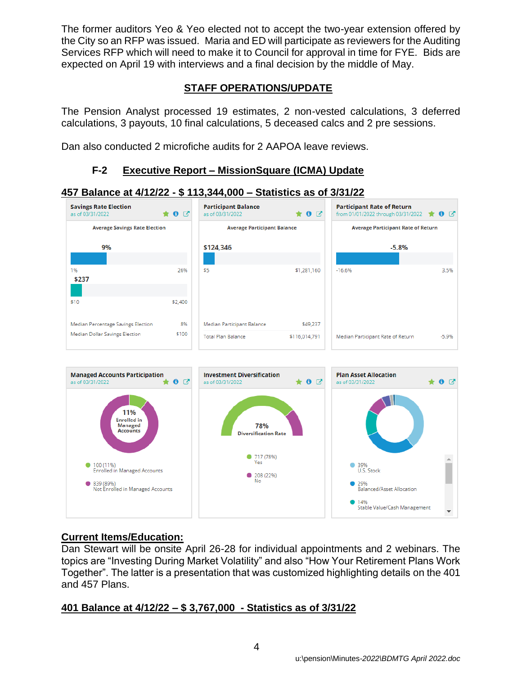The former auditors Yeo & Yeo elected not to accept the two-year extension offered by the City so an RFP was issued. Maria and ED will participate as reviewers for the Auditing Services RFP which will need to make it to Council for approval in time for FYE. Bids are expected on April 19 with interviews and a final decision by the middle of May.

# **STAFF OPERATIONS/UPDATE**

The Pension Analyst processed 19 estimates, 2 non-vested calculations, 3 deferred calculations, 3 payouts, 10 final calculations, 5 deceased calcs and 2 pre sessions.

Dan also conducted 2 microfiche audits for 2 AAPOA leave reviews.

## **F-2 Executive Report – MissionSquare (ICMA) Update**

## **457 Balance at 4/12/22 - \$ 113,344,000 – Statistics as of 3/31/22**





## **Current Items/Education:**

Dan Stewart will be onsite April 26-28 for individual appointments and 2 webinars. The topics are "Investing During Market Volatility" and also "How Your Retirement Plans Work Together". The latter is a presentation that was customized highlighting details on the 401 and 457 Plans.

# **401 Balance at 4/12/22 – \$ 3,767,000 - Statistics as of 3/31/22**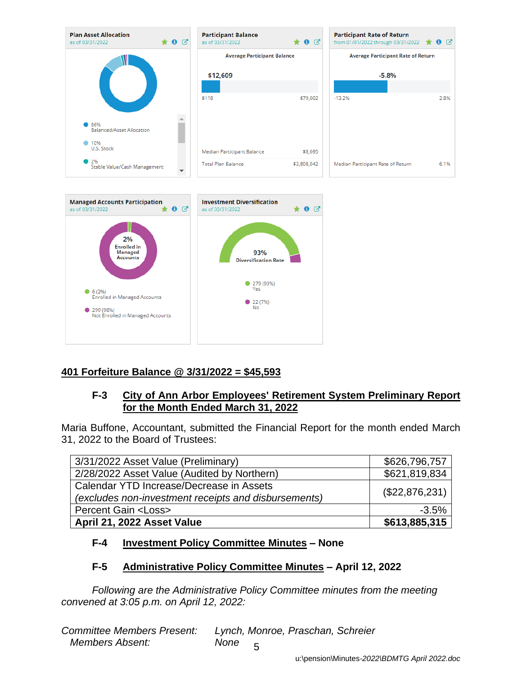

# **401 Forfeiture Balance @ 3/31/2022 = \$45,593**

## **F-3 City of Ann Arbor Employees' Retirement System Preliminary Report for the Month Ended March 31, 2022**

Maria Buffone, Accountant, submitted the Financial Report for the month ended March 31, 2022 to the Board of Trustees:

| 3/31/2022 Asset Value (Preliminary)                  | \$626,796,757  |
|------------------------------------------------------|----------------|
| 2/28/2022 Asset Value (Audited by Northern)          | \$621,819,834  |
| Calendar YTD Increase/Decrease in Assets             | (\$22,876,231) |
| (excludes non-investment receipts and disbursements) |                |
| <b>Percent Gain <loss></loss></b>                    | $-3.5%$        |
| April 21, 2022 Asset Value                           | \$613,885,315  |

# **F-4 Investment Policy Committee Minutes – None**

## **F-5 Administrative Policy Committee Minutes – April 12, 2022**

*Following are the Administrative Policy Committee minutes from the meeting convened at 3:05 p.m. on April 12, 2022:*

| <b>Committee Members Present:</b> | Lynch, Monroe, Praschan, Schreier |
|-----------------------------------|-----------------------------------|
| <b>Members Absent:</b>            | None                              |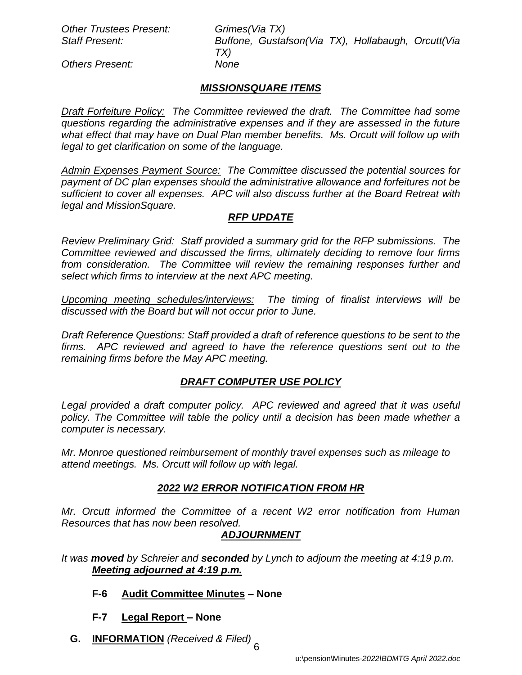*Other Trustees Present: Grimes(Via TX)*

*Staff Present: Buffone, Gustafson(Via TX), Hollabaugh, Orcutt(Via TX)*

*Others Present: None*

## *MISSIONSQUARE ITEMS*

*Draft Forfeiture Policy: The Committee reviewed the draft. The Committee had some questions regarding the administrative expenses and if they are assessed in the future what effect that may have on Dual Plan member benefits. Ms. Orcutt will follow up with legal to get clarification on some of the language.* 

*Admin Expenses Payment Source: The Committee discussed the potential sources for payment of DC plan expenses should the administrative allowance and forfeitures not be sufficient to cover all expenses. APC will also discuss further at the Board Retreat with legal and MissionSquare.*

## *RFP UPDATE*

*Review Preliminary Grid: Staff provided a summary grid for the RFP submissions. The Committee reviewed and discussed the firms, ultimately deciding to remove four firms from consideration. The Committee will review the remaining responses further and select which firms to interview at the next APC meeting.*

*Upcoming meeting schedules/interviews: The timing of finalist interviews will be discussed with the Board but will not occur prior to June.*

*Draft Reference Questions: Staff provided a draft of reference questions to be sent to the firms. APC reviewed and agreed to have the reference questions sent out to the remaining firms before the May APC meeting.*

## *DRAFT COMPUTER USE POLICY*

Legal provided a draft computer policy. APC reviewed and agreed that it was useful policy. The Committee will table the policy until a decision has been made whether a *computer is necessary.* 

*Mr. Monroe questioned reimbursement of monthly travel expenses such as mileage to attend meetings. Ms. Orcutt will follow up with legal.*

## *2022 W2 ERROR NOTIFICATION FROM HR*

*Mr. Orcutt informed the Committee of a recent W2 error notification from Human Resources that has now been resolved.*

## *ADJOURNMENT*

*It was moved by Schreier and seconded by Lynch to adjourn the meeting at 4:19 p.m. Meeting adjourned at 4:19 p.m.*

#### **F-6 Audit Committee Minutes** *–* **None**

- **F-7 Legal Report** *–* **None**
- **G. INFORMATION** *(Received & Filed)*